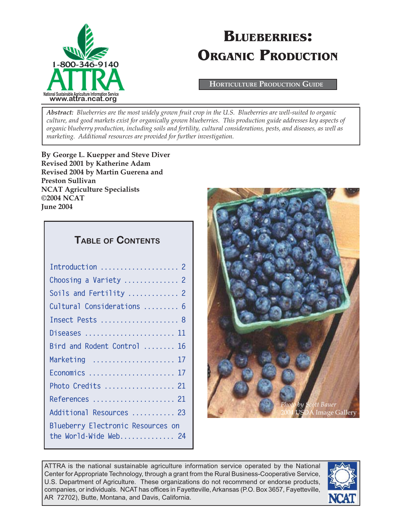

# **BLUEBERRIES: ORGANIC PRODUCTION**

**HORTICULTURE PRODUCTION GUIDE**

*Abstract: Blueberries are the most widely grown fruit crop in the U.S. Blueberries are well-suited to organic culture, and good markets exist for organically grown blueberries. This production guide addresses key aspects of organic blueberry production, including soils and fertility, cultural considerations, pests, and diseases, as well as marketing. Additional resources are provided for further investigation.*

**By George L. Kuepper and Steve Diver Revised 2001 by Katherine Adam Revised 2004 by Martin Guerena and Preston Sullivan NCAT Agriculture Specialists ©2004 NCAT June 2004**

## **TABLE OF CONTENTS**



ATTRA is the national sustainable agriculture information service operated by the National Center for Appropriate Technology, through a grant from the Rural Business-Cooperative Service, U.S. Department of Agriculture. These organizations do not recommend or endorse products, companies, or individuals. NCAT has offices in Fayetteville, Arkansas (P.O. Box 3657, Fayetteville, AR 72702), Butte, Montana, and Davis, California.

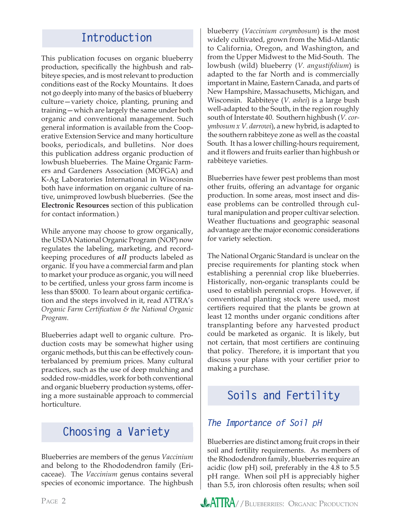## **Introduction**

This publication focuses on organic blueberry production, specifically the highbush and rabbiteye species, and is most relevant to production conditions east of the Rocky Mountains. It does not go deeply into many of the basics of blueberry culture—variety choice, planting, pruning and training—which are largely the same under both organic and conventional management. Such general information is available from the Cooperative Extension Service and many horticulture books, periodicals, and bulletins. Nor does this publication address organic production of lowbush blueberries. The Maine Organic Farmers and Gardeners Association (MOFGA) and K-Ag Laboratories International in Wisconsin both have information on organic culture of native, unimproved lowbush blueberries. (See the **Electronic Resources** section of this publication for contact information.)

While anyone may choose to grow organically, the USDA National Organic Program (NOP) now regulates the labeling, marketing, and recordkeeping procedures of *all* products labeled as organic. If you have a commercial farm and plan to market your produce as organic, you will need to be certified, unless your gross farm income is less than \$5000. To learn about organic certification and the steps involved in it, read ATTRA's *Organic Farm Certification & the National Organic Program*.

Blueberries adapt well to organic culture. Production costs may be somewhat higher using organic methods, but this can be effectively counterbalanced by premium prices. Many cultural practices, such as the use of deep mulching and sodded row-middles, work for both conventional and organic blueberry production systems, offering a more sustainable approach to commercial horticulture.

## **Choosing a Variety**

Blueberries are members of the genus *Vaccinium*  and belong to the Rhododendron family (Ericaceae). The *Vaccinium* genus contains several species of economic importance. The highbush

blueberry (*Vaccinium corymbosum*) is the most widely cultivated, grown from the Mid-Atlantic to California, Oregon, and Washington, and from the Upper Midwest to the Mid-South. The lowbush (wild) blueberry (*V. angustifolium*) is adapted to the far North and is commercially important in Maine, Eastern Canada, and parts of New Hampshire, Massachusetts, Michigan, and Wisconsin. Rabbiteye (*V. ashei*) is a large bush well-adapted to the South, in the region roughly south of Interstate 40. Southern highbush (*V. corymbosum x V. darrowi*), a new hybrid, is adapted to the southern rabbiteye zone as well as the coastal South. It has a lower chilling-hours requirement, and it flowers and fruits earlier than highbush or rabbiteye varieties.

Blueberries have fewer pest problems than most other fruits, offering an advantage for organic production. In some areas, most insect and disease problems can be controlled through cultural manipulation and proper cultivar selection. Weather fluctuations and geographic seasonal advantage are the major economic considerations for variety selection.

The National Organic Standard is unclear on the precise requirements for planting stock when establishing a perennial crop like blueberries. Historically, non-organic transplants could be used to establish perennial crops. However, if conventional planting stock were used, most certifiers required that the plants be grown at least 12 months under organic conditions after transplanting before any harvested product could be marketed as organic. It is likely, but not certain, that most certifiers are continuing that policy. Therefore, it is important that you discuss your plans with your certifier prior to making a purchase.

## **Soils and Fertility**

## *The Importance of Soil pH*

Blueberries are distinct among fruit crops in their soil and fertility requirements. As members of the Rhododendron family, blueberries require an acidic (low pH) soil, preferably in the 4.8 to 5.5 pH range. When soil pH is appreciably higher than 5.5, iron chlorosis often results; when soil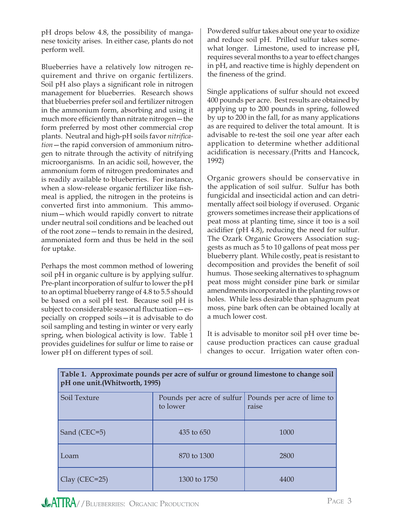pH drops below 4.8, the possibility of manganese toxicity arises. In either case, plants do not perform well.

Blueberries have a relatively low nitrogen requirement and thrive on organic fertilizers. Soil pH also plays a significant role in nitrogen management for blueberries. Research shows that blueberries prefer soil and fertilizer nitrogen in the ammonium form, absorbing and using it much more efficiently than nitrate nitrogen - the form preferred by most other commercial crop plants. Neutral and high-pH soils favor *nitrification*—the rapid conversion of ammonium nitrogen to nitrate through the activity of nitrifying microorganisms. In an acidic soil, however, the ammonium form of nitrogen predominates and is readily available to blueberries. For instance, when a slow-release organic fertilizer like fishmeal is applied, the nitrogen in the proteins is converted first into ammonium. This ammonium—which would rapidly convert to nitrate under neutral soil conditions and be leached out of the root zone—tends to remain in the desired, ammoniated form and thus be held in the soil for uptake.

Perhaps the most common method of lowering soil pH in organic culture is by applying sulfur. Pre-plant incorporation of sulfur to lower the pH to an optimal blueberry range of 4.8 to 5.5 should be based on a soil pH test. Because soil pH is subject to considerable seasonal fluctuation - especially on cropped soils—it is advisable to do soil sampling and testing in winter or very early spring, when biological activity is low. Table 1 provides guidelines for sulfur or lime to raise or lower pH on different types of soil.

Powdered sulfur takes about one year to oxidize and reduce soil pH. Prilled sulfur takes somewhat longer. Limestone, used to increase  $pH$ , requires several months to a year to effect changes in  $pH$ , and reactive time is highly dependent on the fineness of the grind.

Single applications of sulfur should not exceed 400 pounds per acre. Best results are obtained by applying up to 200 pounds in spring, followed by up to 200 in the fall, for as many applications as are required to deliver the total amount. It is advisable to re-test the soil one year after each application to determine whether additional acidification is necessary.(Pritts and Hancock, 1992)

Organic growers should be conservative in the application of soil sulfur. Sulfur has both fungicidal and insecticidal action and can detrimentally affect soil biology if overused. Organic growers sometimes increase their applications of peat moss at planting time, since it too is a soil acidifier (pH  $4.8$ ), reducing the need for sulfur. The Ozark Organic Growers Association suggests as much as 5 to 10 gallons of peat moss per blueberry plant. While costly, peat is resistant to decomposition and provides the benefit of soil humus. Those seeking alternatives to sphagnum peat moss might consider pine bark or similar amendments incorporated in the planting rows or holes. While less desirable than sphagnum peat moss, pine bark often can be obtained locally at a much lower cost.

It is advisable to monitor soil  $pH$  over time because production practices can cause gradual changes to occur. Irrigation water often con-

| $\pi$ one unit. (Whitworth, 1993) |              |                                                                 |  |  |  |
|-----------------------------------|--------------|-----------------------------------------------------------------|--|--|--|
| Soil Texture                      | to lower     | Pounds per acre of sulfur   Pounds per acre of lime to<br>raise |  |  |  |
| Sand (CEC=5)                      | 435 to 650   | 1000                                                            |  |  |  |
| Loam                              | 870 to 1300  | 2800                                                            |  |  |  |
| Clay (CEC=25)                     | 1300 to 1750 | 4400                                                            |  |  |  |

**Table 1. Approximate pounds per acre of sulfur or ground limestone to change soil pH one unit.(Whitworth, 1995)**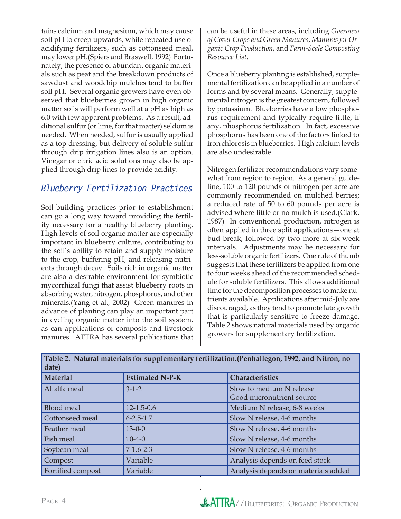tains calcium and magnesium, which may cause soil pH to creep upwards, while repeated use of acidifying fertilizers, such as cottonseed meal, may lower pH.(Spiers and Braswell, 1992) Fortunately, the presence of abundant organic materials such as peat and the breakdown products of sawdust and woodchip mulches tend to buffer soil pH. Several organic growers have even observed that blueberries grown in high organic matter soils will perform well at a pH as high as 6.0 with few apparent problems. As a result, additional sulfur (or lime, for that matter) seldom is needed. When needed, sulfur is usually applied as a top dressing, but delivery of soluble sulfur through drip irrigation lines also is an option. Vinegar or citric acid solutions may also be applied through drip lines to provide acidity.

### *Blueberry Fertilization Practices*

Soil-building practices prior to establishment can go a long way toward providing the fertility necessary for a healthy blueberry planting. High levels of soil organic matter are especially important in blueberry culture, contributing to the soil's ability to retain and supply moisture to the crop, buffering pH, and releasing nutrients through decay. Soils rich in organic matter are also a desirable environment for symbiotic mycorrhizal fungi that assist blueberry roots in absorbing water, nitrogen, phosphorus, and other minerals.(Yang et al., 2002) Green manures in advance of planting can play an important part in cycling organic matter into the soil system, as can applications of composts and livestock manures. ATTRA has several publications that can be useful in these areas, including *Overview of Cover Crops and Green Manures*, *Manures for Organic Crop Production*, and *Farm-Scale Composting Resource List*.

Once a blueberry planting is established, supplemental fertilization can be applied in a number of forms and by several means. Generally, supplemental nitrogen is the greatest concern, followed by potassium. Blueberries have a low phosphorus requirement and typically require little, if any, phosphorus fertilization. In fact, excessive phosphorus has been one of the factors linked to iron chlorosis in blueberries. High calcium levels are also undesirable.

Nitrogen fertilizer recommendations vary somewhat from region to region. As a general guideline, 100 to 120 pounds of nitrogen per acre are commonly recommended on mulched berries; a reduced rate of 50 to 60 pounds per acre is advised where little or no mulch is used.(Clark, 1987) In conventional production, nitrogen is often applied in three split applications—one at bud break, followed by two more at six-week intervals. Adjustments may be necessary for less-soluble organic fertilizers. One rule of thumb suggests that these fertilizers be applied from one to four weeks ahead of the recommended schedule for soluble fertilizers. This allows additional time for the decomposition processes to make nutrients available. Applications after mid-July are discouraged, as they tend to promote late growth that is particularly sensitive to freeze damage. Table 2 shows natural materials used by organic growers for supplementary fertilization.

| date)             |                        |                                                       |
|-------------------|------------------------|-------------------------------------------------------|
| <b>Material</b>   | <b>Estimated N-P-K</b> | <b>Characteristics</b>                                |
| Alfalfa meal      | $3 - 1 - 2$            | Slow to medium N release<br>Good micronutrient source |
| Blood meal        | $12 - 1.5 - 0.6$       | Medium N release, 6-8 weeks                           |
| Cottonseed meal   | $6 - 2.5 - 1.7$        | Slow N release, 4-6 months                            |
| Feather meal      | $13 - 0 - 0$           | Slow N release, 4-6 months                            |
| Fish meal         | $10-4-0$               | Slow N release, 4-6 months                            |
| Soybean meal      | $7-1.6-2.3$            | Slow N release, 4-6 months                            |
| Compost           | Variable               | Analysis depends on feed stock                        |
| Fortified compost | Variable               | Analysis depends on materials added                   |

**Table 2. Natural materials for supplementary fertilization.(Penhallegon, 1992, and Nitron, no**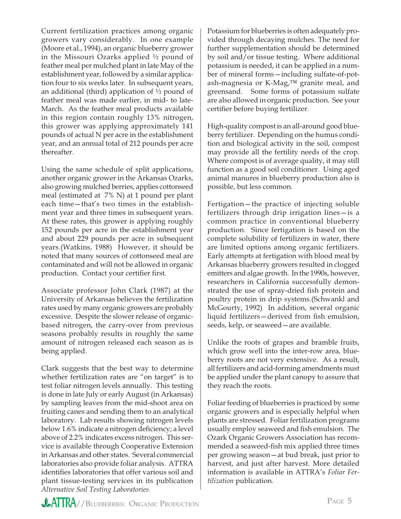Current fertilization practices among organic growers vary considerably. In one example (Moore et al., 1994), an organic blueberry grower in the Missouri Ozarks applied ½ pound of feather meal per mulched plant in late May of the establishment year, followed by a similar application four to six weeks later. In subsequent years, an additional (third) application of  $\frac{1}{2}$  pound of feather meal was made earlier, in mid- to late-March. As the feather meal products available in this region contain roughly 13% nitrogen, this grower was applying approximately 141 pounds of actual N per acre in the establishment year, and an annual total of 212 pounds per acre thereafter.

Using the same schedule of split applications, another organic grower in the Arkansas Ozarks, also growing mulched berries, applies cottonseed meal (estimated at 7% N) at 1 pound per plant each time—that's two times in the establishment year and three times in subsequent years. At these rates, this grower is applying roughly 152 pounds per acre in the establishment year and about 229 pounds per acre in subsequent years.(Watkins, 1988) However, it should be noted that many sources of cottonseed meal are contaminated and will not be allowed in organic production. Contact your certifier first.

Associate professor John Clark (1987) at the University of Arkansas believes the fertilization rates used by many organic growers are probably excessive. Despite the slower release of organicbased nitrogen, the carry-over from previous seasons probably results in roughly the same amount of nitrogen released each season as is being applied.

Clark suggests that the best way to determine whether fertilization rates are "on target" is to test foliar nitrogen levels annually. This testing is done in late July or early August (in Arkansas) by sampling leaves from the mid-shoot area on fruiting canes and sending them to an analytical laboratory. Lab results showing nitrogen levels below 1.6% indicate a nitrogen deficiency; a level above of 2.2% indicates excess nitrogen. This service is available through Cooperative Extension in Arkansas and other states. Several commercial laboratories also provide foliar analysis. ATTRA identifies laboratories that offer various soil and plant tissue-testing services in its publication *Alternative Soil Testing Laboratories*.

Potassium for blueberries is often adequately provided through decaying mulches. The need for further supplementation should be determined by soil and/or tissue testing. Where additional potassium is needed, it can be applied in a number of mineral forms—including sulfate-of-potash-magnesia or K-Mag,™ granite meal, and greensand. Some forms of potassium sulfate are also allowed in organic production. See your certifier before buying fertilizer.

High-quality compost is an all-around good blueberry fertilizer. Depending on the humus condition and biological activity in the soil, compost may provide all the fertility needs of the crop. Where compost is of average quality, it may still function as a good soil conditioner. Using aged animal manures in blueberry production also is possible, but less common.

Fertigation—the practice of injecting soluble fertilizers through drip irrigation lines—is a common practice in conventional blueberry production. Since fertigation is based on the complete solubility of fertilizers in water, there are limited options among organic fertilizers. Early attempts at fertigation with blood meal by Arkansas blueberry growers resulted in clogged emitters and algae growth. In the 1990s, however, researchers in California successfully demonstrated the use of spray-dried fish protein and poultry protein in drip systems.(Schwankl and McGourty, 1992) In addition, several organic liquid fertilizers-derived from fish emulsion, seeds, kelp, or seaweed—are available.

Unlike the roots of grapes and bramble fruits, which grow well into the inter-row area, blueberry roots are not very extensive. As a result, all fertilizers and acid-forming amendments must be applied under the plant canopy to assure that they reach the roots.

Foliar feeding of blueberries is practiced by some organic growers and is especially helpful when plants are stressed. Foliar fertilization programs usually employ seaweed and fish emulsion. The Ozark Organic Growers Association has recommended a seaweed-fish mix applied three times per growing season—at bud break, just prior to harvest, and just after harvest. More detailed information is available in ATTRA's *Foliar Fertilization* publication.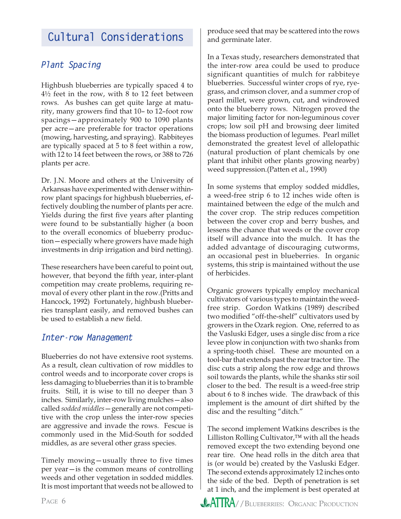## **Cultural Considerations**

## *Plant Spacing*

Highbush blueberries are typically spaced 4 to 4½ feet in the row, with 8 to 12 feet between rows. As bushes can get quite large at maturity, many growers find that 10- to 12-foot row spacings—approximately 900 to 1090 plants per acre—are preferable for tractor operations (mowing, harvesting, and spraying). Rabbiteyes are typically spaced at 5 to 8 feet within a row, with 12 to 14 feet between the rows, or 388 to 726 plants per acre.

Dr. J.N. Moore and others at the University of Arkansas have experimented with denser withinrow plant spacings for highbush blueberries, effectively doubling the number of plants per acre. Yields during the first five years after planting were found to be substantially higher (a boon to the overall economics of blueberry production—especially where growers have made high investments in drip irrigation and bird netting).

These researchers have been careful to point out, however, that beyond the fifth year, inter-plant competition may create problems, requiring removal of every other plant in the row.(Pritts and Hancock, 1992) Fortunately, highbush blueberries transplant easily, and removed bushes can be used to establish a new field.

### *Inter-row Management*

Blueberries do not have extensive root systems. As a result, clean cultivation of row middles to control weeds and to incorporate cover crops is less damaging to blueberries than it is to bramble fruits. Still, it is wise to till no deeper than 3 inches. Similarly, inter-row living mulches—also called *sodded middles*—generally are not competitive with the crop unless the inter-row species are aggressive and invade the rows. Fescue is commonly used in the Mid-South for sodded middles, as are several other grass species.

Timely mowing—usually three to five times per year—is the common means of controlling weeds and other vegetation in sodded middles. It is most important that weeds not be allowed to produce seed that may be scattered into the rows and germinate later.

In a Texas study, researchers demonstrated that the inter-row area could be used to produce significant quantities of mulch for rabbiteye blueberries. Successful winter crops of rye, ryegrass, and crimson clover, and a summer crop of pearl millet, were grown, cut, and windrowed onto the blueberry rows. Nitrogen proved the major limiting factor for non-leguminous cover crops; low soil pH and browsing deer limited the biomass production of legumes. Pearl millet demonstrated the greatest level of allelopathic (natural production of plant chemicals by one plant that inhibit other plants growing nearby) weed suppression.(Patten et al., 1990)

In some systems that employ sodded middles, a weed-free strip 6 to 12 inches wide often is maintained between the edge of the mulch and the cover crop. The strip reduces competition between the cover crop and berry bushes, and lessens the chance that weeds or the cover crop itself will advance into the mulch. It has the added advantage of discouraging cutworms, an occasional pest in blueberries. In organic systems, this strip is maintained without the use of herbicides.

Organic growers typically employ mechanical cultivators of various types to maintain the weedfree strip. Gordon Watkins (1989) described two modified "off-the-shelf" cultivators used by growers in the Ozark region. One, referred to as the Vasluski Edger, uses a single disc from a rice levee plow in conjunction with two shanks from a spring-tooth chisel. These are mounted on a tool-bar that extends past the rear tractor tire. The disc cuts a strip along the row edge and throws soil towards the plants, while the shanks stir soil closer to the bed. The result is a weed-free strip about 6 to 8 inches wide. The drawback of this implement is the amount of dirt shifted by the disc and the resulting "ditch."

The second implement Watkins describes is the Lilliston Rolling Cultivator,™ with all the heads removed except the two extending beyond one rear tire. One head rolls in the ditch area that is (or would be) created by the Vasluski Edger. The second extends approximately 12 inches onto the side of the bed. Depth of penetration is set at 1 inch, and the implement is best operated at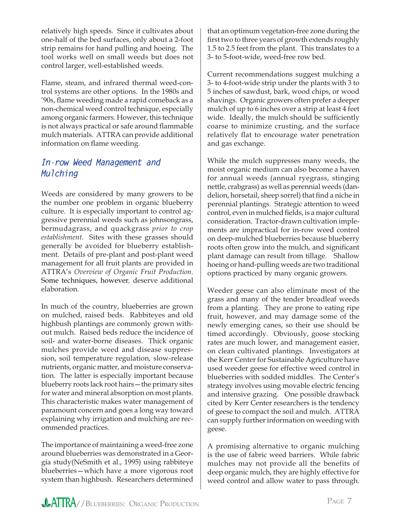relatively high speeds. Since it cultivates about one-half of the bed surfaces, only about a 2-foot strip remains for hand pulling and hoeing. The tool works well on small weeds but does not control larger, well-established weeds.

Flame, steam, and infrared thermal weed-control systems are other options. In the 1980s and '90s, flame weeding made a rapid comeback as a non-chemical weed control technique, especially among organic farmers. However, this technique is not always practical or safe around flammable mulch materials. ATTRA can provide additional information on flame weeding.

### *In-row Weed Management and Mulching*

Weeds are considered by many growers to be the number one problem in organic blueberry culture. It is especially important to control aggressive perennial weeds such as johnsongrass, bermudagrass, and quackgrass *prior to crop establishment*. Sites with these grasses should generally be avoided for blueberry establishment. Details of pre-plant and post-plant weed management for all fruit plants are provided in ATTRA's *Overview of Organic Fruit Production.*  Some techniques, however*,* deserve additional elaboration.

In much of the country, blueberries are grown on mulched, raised beds. Rabbiteyes and old highbush plantings are commonly grown without mulch. Raised beds reduce the incidence of soil- and water-borne diseases. Thick organic mulches provide weed and disease suppression, soil temperature regulation, slow-release nutrients, organic matter, and moisture conservation. The latter is especially important because blueberry roots lack root hairs—the primary sites for water and mineral absorption on most plants. This characteristic makes water management of paramount concern and goes a long way toward explaining why irrigation and mulching are recommended practices.

The importance of maintaining a weed-free zone around blueberries was demonstrated in a Georgia study(NeSmith et al., 1995) using rabbiteye blueberries—which have a more vigorous root system than highbush. Researchers determined

that an optimum vegetation-free zone during the first two to three years of growth extends roughly 1.5 to 2.5 feet from the plant. This translates to a 3- to 5-foot-wide, weed-free row bed.

Current recommendations suggest mulching a 3- to 4-foot-wide strip under the plants with 3 to 5 inches of sawdust, bark, wood chips, or wood shavings. Organic growers often prefer a deeper mulch of up to 6 inches over a strip at least 4 feet wide. Ideally, the mulch should be sufficiently coarse to minimize crusting, and the surface relatively flat to encourage water penetration and gas exchange.

While the mulch suppresses many weeds, the moist organic medium can also become a haven for annual weeds (annual ryegrass, stinging nettle, crabgrass) as well as perennial weeds (dandelion, horsetail, sheep sorrel) that find a niche in perennial plantings. Strategic attention to weed control, even in mulched fields, is a major cultural consideration. Tractor-drawn cultivation implements are impractical for in-row weed control on deep-mulched blueberries because blueberry roots often grow into the mulch, and significant plant damage can result from tillage. Shallow hoeing or hand-pulling weeds are two traditional options practiced by many organic growers.

Weeder geese can also eliminate most of the grass and many of the tender broadleaf weeds from a planting. They are prone to eating ripe fruit, however, and may damage some of the newly emerging canes, so their use should be timed accordingly. Obviously, goose stocking rates are much lower, and management easier, on clean cultivated plantings. Investigators at the Kerr Center for Sustainable Agriculture have used weeder geese for effective weed control in blueberries with sodded middles. The Center's strategy involves using movable electric fencing and intensive grazing. One possible drawback cited by Kerr Center researchers is the tendency of geese to compact the soil and mulch. ATTRA can supply further information on weeding with geese.

A promising alternative to organic mulching is the use of fabric weed barriers. While fabric mulches may not provide all the benefits of deep organic mulch, they are highly effective for weed control and allow water to pass through.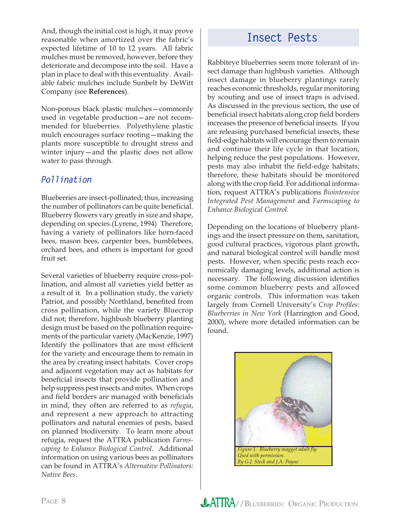And, though the initial cost is high, it may prove reasonable when amortized over the fabric's expected lifetime of 10 to 12 years. All fabric mulches must be removed, however, before they deteriorate and decompose into the soil. Have a plan in place to deal with this eventuality. Available fabric mulches include Sunbelt by DeWitt Company (see **References**).

Non-porous black plastic mulches—commonly used in vegetable production—are not recommended for blueberries. Polyethylene plastic mulch encourages surface rooting—making the plants more susceptible to drought stress and winter injury—and the plastic does not allow water to pass through.

## *Pollination*

Blueberries are insect-pollinated; thus, increasing the number of pollinators can be quite beneficial. Blueberry flowers vary greatly in size and shape, depending on species.(Lyrene, 1994) Therefore, having a variety of pollinators like horn-faced bees, mason bees, carpenter bees, bumblebees, orchard bees, and others is important for good fruit set.

Several varieties of blueberry require cross-pollination, and almost all varieties yield better as a result of it. In a pollination study, the variety Patriot, and possibly Northland, benefited from cross pollination, while the variety Bluecrop did not; therefore, highbush blueberry planting design must be based on the pollination requirements of the particular variety.(MacKenzie, 1997) Identify the pollinators that are most efficient for the variety and encourage them to remain in the area by creating insect habitats. Cover crops and adjacent vegetation may act as habitats for beneficial insects that provide pollination and help suppress pest insects and mites. When crops and field borders are managed with beneficials in mind, they often are referred to as *refugia*, and represent a new approach to attracting pollinators and natural enemies of pests, based on planned biodiversity. To learn more about refugia, request the ATTRA publication *Farmscaping to Enhance Biological Control*. Additional information on using various bees as pollinators can be found in ATTRA's *Alternative Pollinators: Native Bees*.

## **Insect Pests**

Rabbiteye blueberries seem more tolerant of insect damage than highbush varieties. Although insect damage in blueberry plantings rarely reaches economic thresholds, regular monitoring by scouting and use of insect traps is advised. As discussed in the previous section, the use of beneficial insect habitats along crop field borders increases the presence of beneficial insects. If you are releasing purchased beneficial insects, these field-edge habitats will encourage them to remain and continue their life cycle in that location, helping reduce the pest populations. However, pests may also inhabit the field-edge habitats; therefore, these habitats should be monitored along with the crop field. For additional information, request ATTRA's publications *Biointensive Integrated Pest Management* and *Farmscaping to Enhance Biological Control.*

Depending on the locations of blueberry plantings and the insect pressure on them, sanitation, good cultural practices, vigorous plant growth, and natural biological control will handle most pests. However, when specific pests reach economically damaging levels, additional action is necessary. The following discussion identifies some common blueberry pests and allowed organic controls. This information was taken largely from Cornell University's Crop Profiles: *Blueberries in New York* (Harrington and Good, 2000), where more detailed information can be found.

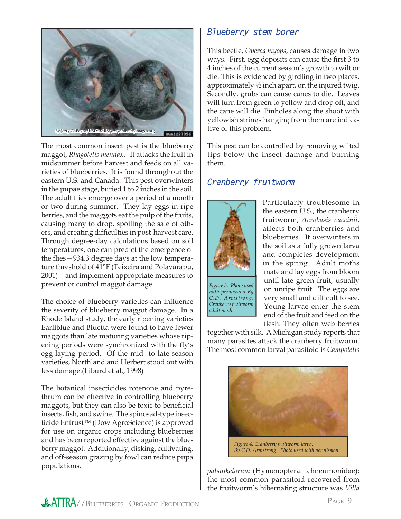

The most common insect pest is the blueberry maggot, *Rhagoletis mendax*. It attacks the fruit in midsummer before harvest and feeds on all varieties of blueberries. It is found throughout the eastern U.S. and Canada. This pest overwinters in the pupae stage, buried 1 to 2 inches in the soil. The adult flies emerge over a period of a month or two during summer. They lay eggs in ripe berries, and the maggots eat the pulp of the fruits, causing many to drop, spoiling the sale of others, and creating difficulties in post-harvest care. Through degree-day calculations based on soil temperatures, one can predict the emergence of the flies - 934.3 degree days at the low temperature threshold of 41°F (Teixeira and Polavarapu, 2001)—and implement appropriate measures to prevent or control maggot damage.

The choice of blueberry varieties can influence the severity of blueberry maggot damage. In a Rhode Island study, the early ripening varieties Earliblue and Bluetta were found to have fewer maggots than late maturing varieties whose ripening periods were synchronized with the fly's egg-laying period. Of the mid- to late-season varieties, Northland and Herbert stood out with less damage.(Liburd et al., 1998)

The botanical insecticides rotenone and pyrethrum can be effective in controlling blueberry maggots, but they can also be toxic to beneficial insects, fish, and swine. The spinosad-type insecticide Entrust™ (Dow AgroScience) is approved for use on organic crops including blueberries and has been reported effective against the blueberry maggot. Additionally, disking, cultivating, and off-season grazing by fowl can reduce pupa populations.

### *Blueberry stem borer*

This beetle, *Oberea myops*, causes damage in two ways. First, egg deposits can cause the first 3 to 4 inches of the current season's growth to wilt or die. This is evidenced by girdling in two places, approximately  $\frac{1}{2}$  inch apart, on the injured twig. Secondly, grubs can cause canes to die. Leaves will turn from green to yellow and drop off, and the cane will die. Pinholes along the shoot with yellowish strings hanging from them are indicative of this problem.

This pest can be controlled by removing wilted tips below the insect damage and burning them.

### *Cranberry fruitworm*



*Figure 3. Photo used with permission By C.D. Armstrong. Cranberry fruitworm adult moth.*

Particularly troublesome in the eastern U.S., the cranberry fruitworm, *Acrobasis vaccinii*, affects both cranberries and blueberries. It overwinters in the soil as a fully grown larva and completes development in the spring. Adult moths mate and lay eggs from bloom until late green fruit, usually on unripe fruit. The eggs are very small and difficult to see. Young larvae enter the stem end of the fruit and feed on the flesh. They often web berries

together with silk. A Michigan study reports that many parasites attack the cranberry fruitworm. The most common larval parasitoid is *Campoletis* 



*patsuiketorum* (Hymenoptera: Ichneumonidae); the most common parasitoid recovered from the fruitworm's hibernating structure was *Villa*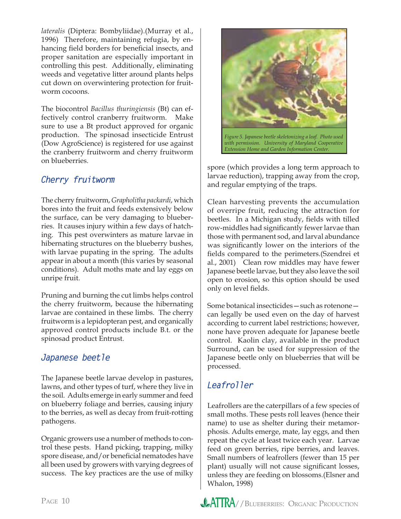*lateralis* (Diptera: Bombyliidae).(Murray et al., 1996) Therefore, maintaining refugia, by enhancing field borders for beneficial insects, and proper sanitation are especially important in controlling this pest. Additionally, eliminating weeds and vegetative litter around plants helps cut down on overwintering protection for fruitworm cocoons.

The biocontrol *Bacillus thuringiensis* (Bt) can effectively control cranberry fruitworm. Make sure to use a Bt product approved for organic production. The spinosad insecticide Entrust (Dow AgroScience) is registered for use against the cranberry fruitworm and cherry fruitworm on blueberries.

### *Cherry fruitworm*

The cherry fruitworm, *Grapholitha packardi*, which bores into the fruit and feeds extensively below the surface, can be very damaging to blueberries. It causes injury within a few days of hatching. This pest overwinters as mature larvae in hibernating structures on the blueberry bushes, with larvae pupating in the spring. The adults appear in about a month (this varies by seasonal conditions). Adult moths mate and lay eggs on unripe fruit.

Pruning and burning the cut limbs helps control the cherry fruitworm, because the hibernating larvae are contained in these limbs. The cherry fruitworm is a lepidopteran pest, and organically approved control products include B.t. or the spinosad product Entrust.

## *Japanese beetle*

The Japanese beetle larvae develop in pastures, lawns, and other types of turf, where they live in the soil. Adults emerge in early summer and feed on blueberry foliage and berries, causing injury to the berries, as well as decay from fruit-rotting pathogens.

Organic growers use a number of methods to control these pests. Hand picking, trapping, milky spore disease, and/or beneficial nematodes have all been used by growers with varying degrees of success. The key practices are the use of milky



spore (which provides a long term approach to larvae reduction), trapping away from the crop, and regular emptying of the traps.

Clean harvesting prevents the accumulation of overripe fruit, reducing the attraction for beetles. In a Michigan study, fields with tilled row-middles had significantly fewer larvae than those with permanent sod, and larval abundance was significantly lower on the interiors of the fields compared to the perimeters. (Szendrei et al., 2001) Clean row middles may have fewer Japanese beetle larvae, but they also leave the soil open to erosion, so this option should be used only on level fields.

Some botanical insecticides—such as rotenone can legally be used even on the day of harvest according to current label restrictions; however, none have proven adequate for Japanese beetle control. Kaolin clay, available in the product Surround, can be used for suppression of the Japanese beetle only on blueberries that will be processed.

## *Leafroller*

Leafrollers are the caterpillars of a few species of small moths. These pests roll leaves (hence their name) to use as shelter during their metamorphosis. Adults emerge, mate, lay eggs, and then repeat the cycle at least twice each year. Larvae feed on green berries, ripe berries, and leaves. Small numbers of leafrollers (fewer than 15 per plant) usually will not cause significant losses, unless they are feeding on blossoms.(Elsner and Whalon, 1998)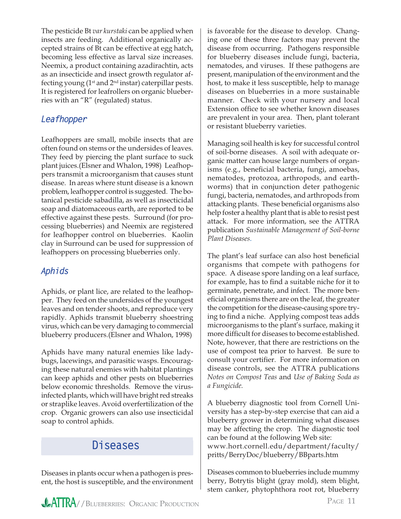The pesticide Bt *var kurstaki* can be applied when insects are feeding. Additional organically accepted strains of Bt can be effective at egg hatch, becoming less effective as larval size increases. Neemix, a product containing azadirachtin, acts as an insecticide and insect growth regulator affecting young  $(1<sup>st</sup>$  and  $2<sup>nd</sup>$  instar) caterpillar pests. It is registered for leafrollers on organic blueberries with an "R" (regulated) status.

### *Leafhopper*

Leafhoppers are small, mobile insects that are often found on stems or the undersides of leaves. They feed by piercing the plant surface to suck plant juices.(Elsner and Whalon, 1998) Leafhoppers transmit a microorganism that causes stunt disease. In areas where stunt disease is a known problem, leafhopper control is suggested. The botanical pesticide sabadilla, as well as insecticidal soap and diatomaceous earth, are reported to be effective against these pests. Surround (for processing blueberries) and Neemix are registered for leafhopper control on blueberries. Kaolin clay in Surround can be used for suppression of leafhoppers on processing blueberries only.

## *Aphids*

Aphids, or plant lice, are related to the leafhopper. They feed on the undersides of the youngest leaves and on tender shoots, and reproduce very rapidly. Aphids transmit blueberry shoestring virus, which can be very damaging to commercial blueberry producers.(Elsner and Whalon, 1998)

Aphids have many natural enemies like ladybugs, lacewings, and parasitic wasps. Encouraging these natural enemies with habitat plantings can keep aphids and other pests on blueberries below economic thresholds. Remove the virusinfected plants, which will have bright red streaks or straplike leaves. Avoid overfertilization of the crop. Organic growers can also use insecticidal soap to control aphids.

## **Diseases**

Diseases in plants occur when a pathogen is present, the host is susceptible, and the environment is favorable for the disease to develop. Changing one of these three factors may prevent the disease from occurring. Pathogens responsible for blueberry diseases include fungi, bacteria, nematodes, and viruses. If these pathogens are present, manipulation of the environment and the host, to make it less susceptible, help to manage diseases on blueberries in a more sustainable manner. Check with your nursery and local Extension office to see whether known diseases are prevalent in your area. Then, plant tolerant or resistant blueberry varieties.

Managing soil health is key for successful control of soil-borne diseases. A soil with adequate organic matter can house large numbers of organisms (e.g., beneficial bacteria, fungi, amoebas, nematodes, protozoa, arthropods, and earthworms) that in conjunction deter pathogenic fungi, bacteria, nematodes, and arthropods from attacking plants. These beneficial organisms also help foster a healthy plant that is able to resist pest attack. For more information, see the ATTRA publication *Sustainable Management of Soil-borne Plant Diseases.* 

The plant's leaf surface can also host beneficial organisms that compete with pathogens for space. A disease spore landing on a leaf surface, for example, has to find a suitable niche for it to germinate, penetrate, and infect. The more beneficial organisms there are on the leaf, the greater the competition for the disease-causing spore trying to find a niche. Applying compost teas adds microorganisms to the plant's surface, making it more difficult for diseases to become established. Note, however, that there are restrictions on the use of compost tea prior to harvest. Be sure to consult your certifier. For more information on disease controls, see the ATTRA publications *Notes on Compost Teas* and *Use of Baking Soda as a Fungicide.*

A blueberry diagnostic tool from Cornell University has a step-by-step exercise that can aid a blueberry grower in determining what diseases may be affecting the crop. The diagnostic tool can be found at the following Web site: www.hort.cornell.edu/department/faculty/ pritts/BerryDoc/blueberry/BBparts.htm

Diseases common to blueberries include mummy berry, Botrytis blight (gray mold), stem blight, stem canker, phytophthora root rot, blueberry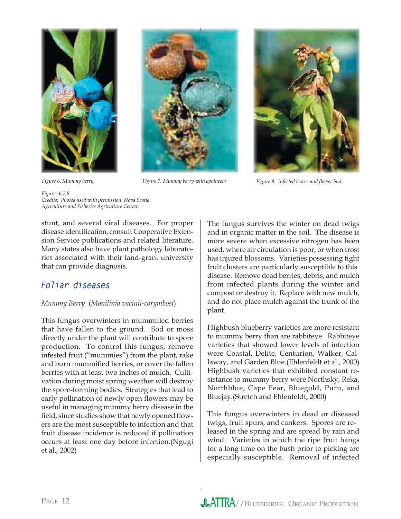





*Figures 6,7,8* 

*Figure 6. Mummy berry Figure 7. Mummy berry with apothecia Figure 8. Infected leaves and flower bud* 

stunt, and several viral diseases. For proper disease identification, consult Cooperative Extension Service publications and related literature. Many states also have plant pathology laboratories associated with their land-grant university that can provide diagnosis.

*Credits: Photos used with permission. Nova Scotia Agriculture and Fisheries Agriculture Center.* 

### *Foliar diseases*

### *Mummy Berry* (*Monilinia vacinii-corymbosi*)

This fungus overwinters in mummified berries that have fallen to the ground. Sod or moss directly under the plant will contribute to spore production. To control this fungus, remove infested fruit ("mummies") from the plant, rake and burn mummified berries, or cover the fallen berries with at least two inches of mulch. Cultivation during moist spring weather will destroy the spore-forming bodies. Strategies that lead to early pollination of newly open flowers may be useful in managing mummy berry disease in the field, since studies show that newly opened flowers are the most susceptible to infection and that fruit disease incidence is reduced if pollination occurs at least one day before infection.(Ngugi et al., 2002)

The fungus survives the winter on dead twigs and in organic matter in the soil. The disease is more severe when excessive nitrogen has been used, where air circulation is poor, or when frost has injured blossoms. Varieties possessing tight fruit clusters are particularly susceptible to this disease. Remove dead berries, debris, and mulch from infected plants during the winter and compost or destroy it. Replace with new mulch, and do not place mulch against the trunk of the plant.

Highbush blueberry varieties are more resistant to mummy berry than are rabbiteye. Rabbiteye varieties that showed lower levels of infection were Coastal, Delite, Centurion, Walker, Callaway, and Garden Blue.(Ehlenfeldt et al., 2000) Highbush varieties that exhibited constant resistance to mummy berry were Northsky, Reka, Northblue, Cape Fear, Bluegold, Puru, and Bluejay.(Stretch and Ehlenfeldt, 2000)

This fungus overwinters in dead or diseased twigs, fruit spurs, and cankers. Spores are released in the spring and are spread by rain and wind. Varieties in which the ripe fruit hangs for a long time on the bush prior to picking are especially susceptible. Removal of infected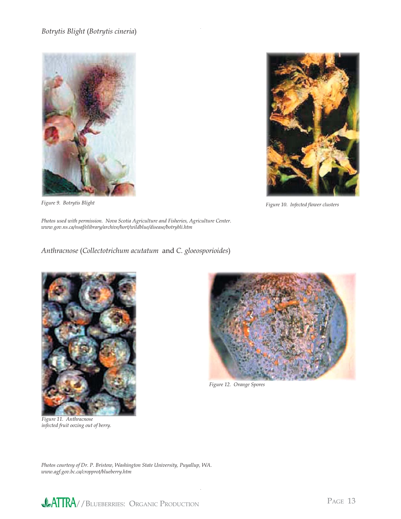### *Botrytis Blight* (*Botrytis cineria*)





*Figure 9. Botrytis Blight Figure 10. Infected flower clusters* 

*Photos used with permission. Nova Scotia Agriculture and Fisheries, Agriculture Center. www.gov.ns.ca/nsaf/elibrary/archive/hort/wildblue/disease/botrybli.htm*

### *Anthracnose* (*Collectotrichum acutatum* and *C. gloeosporioides*)



*Figure 11. Anthracnose infected fruit oozing out of berry.*



*Figure 12. Orange Spores*

*Photos courtesy of Dr. P. Bristow, Washington State University, Puyallup, WA. www.agf.gov.bc.ca/cropprot/blueberry.htm*

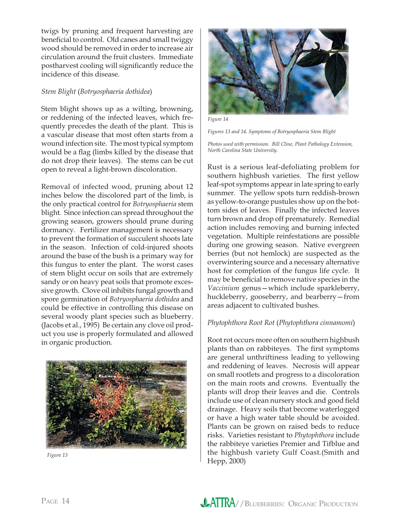twigs by pruning and frequent harvesting are beneficial to control. Old canes and small twiggy wood should be removed in order to increase air circulation around the fruit clusters. Immediate postharvest cooling will significantly reduce the incidence of this disease.

### *Stem Blight* (*Botryosphaeria dothidea*)

Stem blight shows up as a wilting, browning, or reddening of the infected leaves, which frequently precedes the death of the plant. This is a vascular disease that most often starts from a wound infection site. The most typical symptom would be a flag (limbs killed by the disease that do not drop their leaves). The stems can be cut open to reveal a light-brown discoloration.

Removal of infected wood, pruning about 12 inches below the discolored part of the limb, is the only practical control for *Botryosphaeria* stem blight. Since infection can spread throughout the growing season, growers should prune during dormancy. Fertilizer management is necessary to prevent the formation of succulent shoots late in the season. Infection of cold-injured shoots around the base of the bush is a primary way for this fungus to enter the plant. The worst cases of stem blight occur on soils that are extremely sandy or on heavy peat soils that promote excessive growth. Clove oil inhibits fungal growth and spore germination of *Botryosphaeria dothidea* and could be effective in controlling this disease on several woody plant species such as blueberry. (Jacobs et al., 1995) Be certain any clove oil product you use is properly formulated and allowed in organic production.



*Figure 13*



*Figure 14*

*Rust* (*Pucciniastrum vaccinii*) *Figures 13 and 14. Symptoms of Botryosphaeria Stem Blight*

*Photos used with permission. Bill Cline, Plant Pathology Extension, North Carolina State University.*

Rust is a serious leaf-defoliating problem for southern highbush varieties. The first yellow leaf-spot symptoms appear in late spring to early summer. The yellow spots turn reddish-brown as yellow-to-orange pustules show up on the bottom sides of leaves. Finally the infected leaves turn brown and drop off prematurely. Remedial action includes removing and burning infected vegetation. Multiple reinfestations are possible during one growing season. Native evergreen berries (but not hemlock) are suspected as the overwintering source and a necessary alternative host for completion of the fungus life cycle. It may be beneficial to remove native species in the *Vaccinium* genus—which include sparkleberry, huckleberry, gooseberry, and bearberry—from areas adjacent to cultivated bushes.

#### *Phytophthora Root Rot* (*Phytophthora cinnamomi*)

Root rot occurs more often on southern highbush plants than on rabbiteyes. The first symptoms are general unthriftiness leading to yellowing and reddening of leaves. Necrosis will appear on small rootlets and progress to a discoloration on the main roots and crowns. Eventually the plants will drop their leaves and die. Controls include use of clean nursery stock and good field drainage. Heavy soils that become waterlogged or have a high water table should be avoided. Plants can be grown on raised beds to reduce risks. Varieties resistant to *Phytophthora* include the rabbiteye varieties Premier and Tifblue and the highbush variety Gulf Coast.(Smith and Hepp, 2000)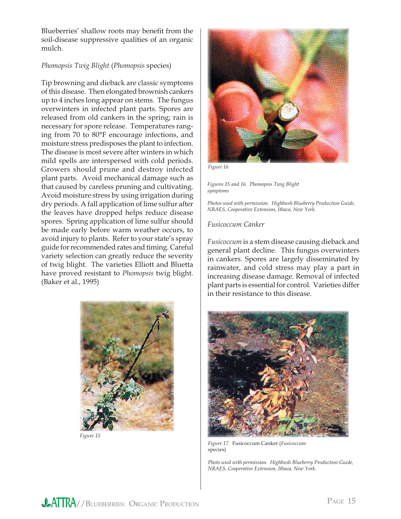Blueberries' shallow roots may benefit from the soil-disease suppressive qualities of an organic mulch.

#### *Phomopsis Twig Blight* (*Phomopsis* species)

Tip browning and dieback are classic symptoms of this disease. Then elongated brownish cankers up to 4 inches long appear on stems. The fungus overwinters in infected plant parts. Spores are released from old cankers in the spring; rain is necessary for spore release. Temperatures ranging from 70 to 80°F encourage infections, and moisture stress predisposes the plant to infection. The disease is most severe after winters in which mild spells are interspersed with cold periods. Growers should prune and destroy infected plant parts. Avoid mechanical damage such as that caused by careless pruning and cultivating. Avoid moisture stress by using irrigation during dry periods. A fall application of lime sulfur after the leaves have dropped helps reduce disease spores. Spring application of lime sulfur should be made early before warm weather occurs, to avoid injury to plants. Refer to your state's spray guide for recommended rates and timing. Careful variety selection can greatly reduce the severity of twig blight. The varieties Elliott and Bluetta have proved resistant to *Phomopsis* twig blight. (Baker et al., 1995)



*Figure 15*



*Figure 16*

*Figures 15 and 16. Phomopsis Twig Blight symptoms*

*Photos used with permission. Highbush Blueberry Production Guide, NRAES, Cooperative Extension, Ithaca, New York.*

#### *Fusicoccum Canker usicoccum*

*Fusicoccum* is a stem disease causing dieback and general plant decline. This fungus overwinters in cankers. Spores are largely disseminated by rainwater, and cold stress may play a part in increasing disease damage. Removal of infected plant parts is essential for control. Varieties differ in their resistance to this disease.



*Figure 17.* Fusicoccum Canker (*Fusicoccum*  species)

*Photo used with permission. Highbush Blueberry Production Guide, NRAES, Cooperative Extension, Ithaca, New York.*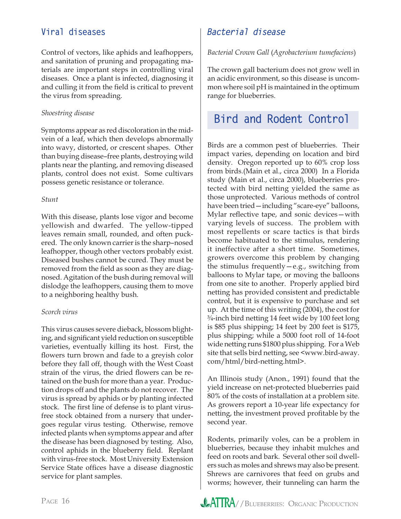## **Viral diseases**

Control of vectors, like aphids and leafhoppers, and sanitation of pruning and propagating materials are important steps in controlling viral diseases. Once a plant is infected, diagnosing it and culling it from the field is critical to prevent the virus from spreading.

#### *Shoestring disease*

Symptoms appear as red discoloration in the midvein of a leaf, which then develops abnormally into wavy, distorted, or crescent shapes. Other than buying disease–free plants, destroying wild plants near the planting, and removing diseased plants, control does not exist. Some cultivars possess genetic resistance or tolerance.

#### *Stunt*

With this disease, plants lose vigor and become yellowish and dwarfed. The yellow-tipped leaves remain small, rounded, and often puckered. The only known carrier is the sharp–nosed leafhopper, though other vectors probably exist. Diseased bushes cannot be cured. They must be removed from the field as soon as they are diagnosed. Agitation of the bush during removal will dislodge the leafhoppers, causing them to move to a neighboring healthy bush.

#### *Scorch virus*

This virus causes severe dieback, blossom blighting, and significant yield reduction on susceptible varieties, eventually killing its host. First, the flowers turn brown and fade to a greyish color before they fall off, though with the West Coast strain of the virus, the dried flowers can be retained on the bush for more than a year. Production drops off and the plants do not recover. The virus is spread by aphids or by planting infected stock. The first line of defense is to plant virusfree stock obtained from a nursery that undergoes regular virus testing. Otherwise, remove infected plants when symptoms appear and after the disease has been diagnosed by testing. Also, control aphids in the blueberry field. Replant with virus-free stock. Most University Extension Service State offices have a disease diagnostic service for plant samples.

### *Bacterial disease*

### *Bacterial Crown Gall* (*Agrobacterium tumefaciens*)

The crown gall bacterium does not grow well in an acidic environment, so this disease is uncommon where soil pH is maintained in the optimum range for blueberries.

## **Bird and Rodent Control**

Birds are a common pest of blueberries. Their impact varies, depending on location and bird density. Oregon reported up to 60% crop loss from birds.(Main et al., circa 2000) In a Florida study (Main et al., circa 2000), blueberries protected with bird netting yielded the same as those unprotected. Various methods of control have been tried—including "scare-eye" balloons, Mylar reflective tape, and sonic devices – with varying levels of success. The problem with most repellents or scare tactics is that birds become habituated to the stimulus, rendering it ineffective after a short time. Sometimes, growers overcome this problem by changing the stimulus frequently—e.g., switching from balloons to Mylar tape, or moving the balloons from one site to another. Properly applied bird netting has provided consistent and predictable control, but it is expensive to purchase and set up. At the time of this writing (2004), the cost for ¾-inch bird netting 14 feet wide by 100 feet long is \$85 plus shipping; 14 feet by 200 feet is \$175, plus shipping; while a 5000 foot roll of 14-foot wide netting runs \$1800 plus shipping. For a Web site that sells bird netting, see <www.bird-away. com/html/bird-netting.html>.

An Illinois study (Anon., 1991) found that the yield increase on net-protected blueberries paid 80% of the costs of installation at a problem site. As growers report a 10-year life expectancy for netting, the investment proved profitable by the second year.

Rodents, primarily voles, can be a problem in blueberries, because they inhabit mulches and feed on roots and bark. Several other soil dwellers such as moles and shrews may also be present. Shrews are carnivores that feed on grubs and worms; however, their tunneling can harm the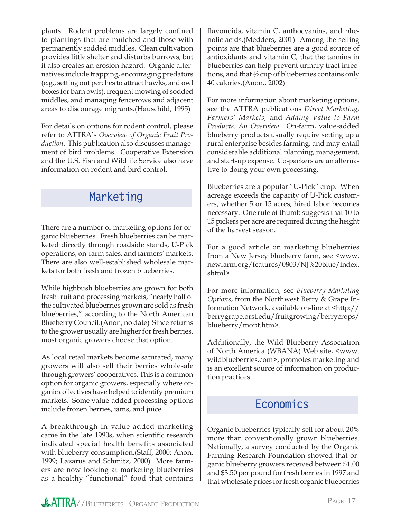plants. Rodent problems are largely confined to plantings that are mulched and those with permanently sodded middles. Clean cultivation provides little shelter and disturbs burrows, but it also creates an erosion hazard. Organic alternatives include trapping, encouraging predators (e.g., setting out perches to attract hawks, and owl boxes for barn owls), frequent mowing of sodded middles, and managing fencerows and adjacent areas to discourage migrants.(Hauschild, 1995)

For details on options for rodent control, please refer to ATTRA's *Overview of Organic Fruit Production*. This publication also discusses management of bird problems. Cooperative Extension and the U.S. Fish and Wildlife Service also have information on rodent and bird control.

## **Marketing**

There are a number of marketing options for organic blueberries. Fresh blueberries can be marketed directly through roadside stands, U-Pick operations, on-farm sales, and farmers' markets. There are also well-established wholesale markets for both fresh and frozen blueberries.

While highbush blueberries are grown for both fresh fruit and processing markets, "nearly half of the cultivated blueberries grown are sold as fresh blueberries," according to the North American Blueberry Council.(Anon, no date) Since returns to the grower usually are higher for fresh berries, most organic growers choose that option.

As local retail markets become saturated, many growers will also sell their berries wholesale through growers' cooperatives. This is a common option for organic growers, especially where organic collectives have helped to identify premium markets. Some value-added processing options include frozen berries, jams, and juice.

A breakthrough in value-added marketing came in the late 1990s, when scientific research indicated special health benefits associated with blueberry consumption.(Staff, 2000; Anon, 1999; Lazarus and Schmitz, 2000) More farmers are now looking at marketing blueberries as a healthy "functional" food that contains

flavonoids, vitamin C, anthocyanins, and phenolic acids.(Medders, 2001) Among the selling points are that blueberries are a good source of antioxidants and vitamin C, that the tannins in blueberries can help prevent urinary tract infections, and that ½ cup of blueberries contains only 40 calories.(Anon., 2002)

For more information about marketing options, see the ATTRA publications *Direct Marketing, Farmers' Markets,* and *Adding Value to Farm Products: An Overview*. On-farm, value-added blueberry products usually require setting up a rural enterprise besides farming, and may entail considerable additional planning, management, and start-up expense. Co-packers are an alternative to doing your own processing.

Blueberries are a popular "U-Pick" crop. When acreage exceeds the capacity of U-Pick customers, whether 5 or 15 acres, hired labor becomes necessary. One rule of thumb suggests that 10 to 15 pickers per acre are required during the height of the harvest season.

For a good article on marketing blueberries from a New Jersey blueberry farm, see <www. newfarm.org/features/0803/NJ%20blue/index. shtml>.

For more information, see *Blueberry Marketing Options*, from the Northwest Berry & Grape Information Network, available on-line at <http:// berrygrape.orst.edu/fruitgrowing/berrycrops/ blueberry/mopt.htm>.

Additionally, the Wild Blueberry Association of North America (WBANA) Web site, <www. wildblueberries.com>, promotes marketing and is an excellent source of information on production practices.

## **Economics**

Organic blueberries typically sell for about 20% more than conventionally grown blueberries. Nationally, a survey conducted by the Organic Farming Research Foundation showed that organic blueberry growers received between \$1.00 and \$3.50 per pound for fresh berries in 1997 and that wholesale prices for fresh organic blueberries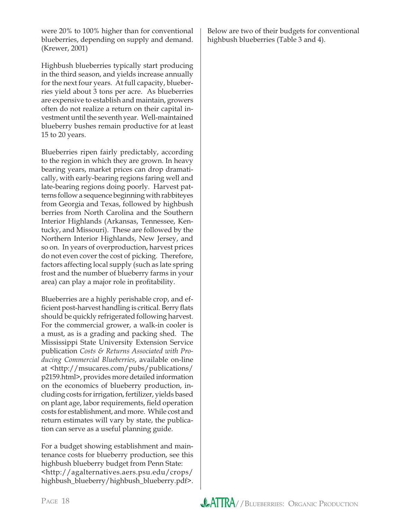were 20% to 100% higher than for conventional blueberries, depending on supply and demand. (Krewer, 2001)

Highbush blueberries typically start producing in the third season, and yields increase annually for the next four years. At full capacity, blueberries yield about 3 tons per acre. As blueberries are expensive to establish and maintain, growers often do not realize a return on their capital investment until the seventh year. Well-maintained blueberry bushes remain productive for at least 15 to 20 years.

Blueberries ripen fairly predictably, according to the region in which they are grown. In heavy bearing years, market prices can drop dramatically, with early-bearing regions faring well and late-bearing regions doing poorly. Harvest patterns follow a sequence beginning with rabbiteyes from Georgia and Texas, followed by highbush berries from North Carolina and the Southern Interior Highlands (Arkansas, Tennessee, Kentucky, and Missouri). These are followed by the Northern Interior Highlands, New Jersey, and so on. In years of overproduction, harvest prices do not even cover the cost of picking. Therefore, factors affecting local supply (such as late spring frost and the number of blueberry farms in your area) can play a major role in profitability.

Blueberries are a highly perishable crop, and efficient post-harvest handling is critical. Berry flats should be quickly refrigerated following harvest. For the commercial grower, a walk-in cooler is a must, as is a grading and packing shed. The Mississippi State University Extension Service publication *Costs & Returns Associated with Producing Commercial Blueberries*, available on-line at <http://msucares.com/pubs/publications/ p2159.html>, provides more detailed information on the economics of blueberry production, including costs for irrigation, fertilizer, yields based on plant age, labor requirements, field operation costs for establishment, and more. While cost and return estimates will vary by state, the publication can serve as a useful planning guide.

For a budget showing establishment and maintenance costs for blueberry production, see this highbush blueberry budget from Penn State: <http://agalternatives.aers.psu.edu/crops/ highbush\_blueberry/highbush\_blueberry.pdf>.

Below are two of their budgets for conventional highbush blueberries (Table 3 and 4).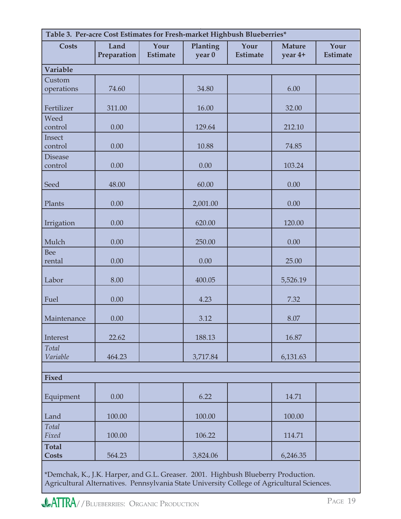| Table 3. Per-acre Cost Estimates for Fresh-market Highbush Blueberries* |                     |                         |                    |                         |                          |                         |
|-------------------------------------------------------------------------|---------------------|-------------------------|--------------------|-------------------------|--------------------------|-------------------------|
| <b>Costs</b>                                                            | Land<br>Preparation | Your<br><b>Estimate</b> | Planting<br>year 0 | Your<br><b>Estimate</b> | <b>Mature</b><br>year 4+ | Your<br><b>Estimate</b> |
| Variable                                                                |                     |                         |                    |                         |                          |                         |
| Custom<br>operations                                                    | 74.60               |                         | 34.80              |                         | 6.00                     |                         |
| Fertilizer                                                              | 311.00              |                         | 16.00              |                         | 32.00                    |                         |
| Weed<br>control                                                         | 0.00                |                         | 129.64             |                         | 212.10                   |                         |
| Insect<br>control                                                       | 0.00                |                         | 10.88              |                         | 74.85                    |                         |
| <b>Disease</b><br>control                                               | 0.00                |                         | 0.00               |                         | 103.24                   |                         |
| Seed                                                                    | 48.00               |                         | 60.00              |                         | 0.00                     |                         |
| Plants                                                                  | 0.00                |                         | 2,001.00           |                         | 0.00                     |                         |
| Irrigation                                                              | 0.00                |                         | 620.00             |                         | 120.00                   |                         |
| Mulch                                                                   | 0.00                |                         | 250.00             |                         | 0.00                     |                         |
| <b>Bee</b><br>rental                                                    | 0.00                |                         | 0.00               |                         | 25.00                    |                         |
| Labor                                                                   | 8.00                |                         | 400.05             |                         | 5,526.19                 |                         |
| Fuel                                                                    | 0.00                |                         | 4.23               |                         | 7.32                     |                         |
| Maintenance                                                             | 0.00                |                         | 3.12               |                         | 8.07                     |                         |
| Interest                                                                | 22.62               |                         | 188.13             |                         | 16.87                    |                         |
| Total<br>Variable                                                       | 464.23              |                         | 3,717.84           |                         | 6,131.63                 |                         |
| <b>Fixed</b>                                                            |                     |                         |                    |                         |                          |                         |
| Equipment                                                               | 0.00                |                         | 6.22               |                         | 14.71                    |                         |
| Land                                                                    | 100.00              |                         | 100.00             |                         | 100.00                   |                         |
| Total<br>Fixed                                                          | 100.00              |                         | 106.22             |                         | 114.71                   |                         |
| <b>Total</b><br><b>Costs</b>                                            | 564.23              |                         | 3,824.06           |                         | 6,246.35                 |                         |

\*Demchak, K., J.K. Harper, and G.L. Greaser. 2001. Highbush Blueberry Production. Agricultural Alternatives. Pennsylvania State University College of Agricultural Sciences.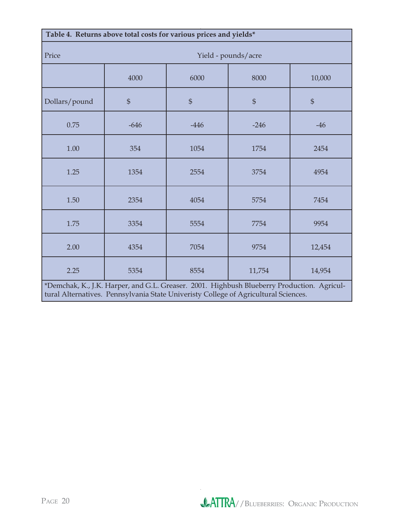| Table 4. Returns above total costs for various prices and yields*                                                                                                                 |                     |                |                |                |  |
|-----------------------------------------------------------------------------------------------------------------------------------------------------------------------------------|---------------------|----------------|----------------|----------------|--|
| Price                                                                                                                                                                             | Yield - pounds/acre |                |                |                |  |
|                                                                                                                                                                                   | 4000                | 6000           | 8000           | 10,000         |  |
| Dollars/pound                                                                                                                                                                     | $\mathfrak{S}$      | $\mathfrak{S}$ | $\mathfrak{S}$ | $\mathfrak{S}$ |  |
| 0.75                                                                                                                                                                              | $-646$              | $-446$         | $-246$         | $-46$          |  |
| 1.00                                                                                                                                                                              | 354                 | 1054           | 1754           | 2454           |  |
| 1.25                                                                                                                                                                              | 1354                | 2554           | 3754           | 4954           |  |
| 1.50                                                                                                                                                                              | 2354                | 4054           | 5754           | 7454           |  |
| 1.75                                                                                                                                                                              | 3354                | 5554           | 7754           | 9954           |  |
| 2.00                                                                                                                                                                              | 4354                | 7054           | 9754           | 12,454         |  |
| 2.25                                                                                                                                                                              | 5354                | 8554           | 11,754         | 14,954         |  |
| *Demchak, K., J.K. Harper, and G.L. Greaser. 2001. Highbush Blueberry Production. Agricul-<br>tural Alternatives. Pennsylvania State Univeristy College of Agricultural Sciences. |                     |                |                |                |  |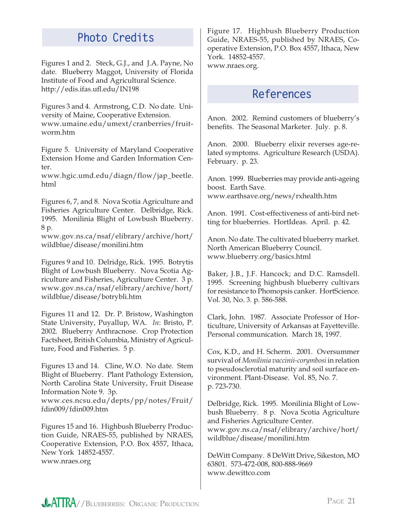## **Photo Credits**

Figures 1 and 2. Steck, G.J., and J.A. Payne, No date. Blueberry Maggot, University of Florida Institute of Food and Agricultural Science. http://edis.ifas.ufl .edu/IN198

Figures 3 and 4. Armstrong, C.D. No date. University of Maine, Cooperative Extension. www.umaine.edu/umext/cranberries/fruitworm.htm

Figure 5. University of Maryland Cooperative Extension Home and Garden Information Center.

www.hgic.umd.edu/diagn/flow/jap\_beetle. html

Figures 6, 7, and 8. Nova Scotia Agriculture and Fisheries Agriculture Center. Delbridge, Rick. 1995. Monilinia Blight of Lowbush Blueberry. 8 p.

www.gov.ns.ca/nsaf/elibrary/archive/hort/ wildblue/disease/monilini.htm

Figures 9 and 10. Delridge, Rick. 1995. Botrytis Blight of Lowbush Blueberry. Nova Scotia Agriculture and Fisheries, Agriculture Center. 3 p. www.gov.ns.ca/nsaf/elibrary/archive/hort/ wildblue/disease/botrybli.htm

Figures 11 and 12. Dr. P. Bristow, Washington State University, Puyallup, WA. *In*: Bristo, P. 2002. Blueberry Anthracnose. Crop Protection Factsheet, British Columbia, Ministry of Agriculture, Food and Fisheries. 5 p.

Figures 13 and 14. Cline, W.O. No date. Stem Blight of Blueberry. Plant Pathology Extension, North Carolina State University, Fruit Disease Information Note 9. 3p.

www.ces.ncsu.edu/depts/pp/notes/Fruit/ fdin009/fdin009.htm

Figures 15 and 16. Highbush Blueberry Production Guide, NRAES-55, published by NRAES, Cooperative Extension, P.O. Box 4557, Ithaca, New York 14852-4557. www.nraes.org

Figure 17. Highbush Blueberry Production Guide, NRAES-55, published by NRAES, Cooperative Extension, P.O. Box 4557, Ithaca, New York. 14852-4557.

www.nraes.org.

## **References**

Anon. 2002. Remind customers of blueberry's benefits. The Seasonal Marketer. July. p. 8.

Anon. 2000. Blueberry elixir reverses age-related symptoms. Agriculture Research (USDA). February. p. 23.

Anon. 1999. Blueberries may provide anti-ageing boost. Earth Save. www.earthsave.org/news/rxhealth.htm

Anon. 1991. Cost-effectiveness of anti-bird netting for blueberries. HortIdeas. April. p. 42.

Anon. No date. The cultivated blueberry market. North American Blueberry Council. www.blueberry.org/basics.html

Baker, J.B., J.F. Hancock; and D.C. Ramsdell. 1995. Screening highbush blueberry cultivars for resistance to Phomopsis canker. HortScience. Vol. 30, No. 3. p. 586-588.

Clark, John. 1987. Associate Professor of Horticulture, University of Arkansas at Fayetteville. Personal communication. March 18, 1997.

Cox, K.D., and H. Scherm. 2001. Oversummer survival of *Monilinia vaccinii-corymbosi* in relation to pseudosclerotial maturity and soil surface environment. Plant-Disease. Vol. 85, No. 7. p. 723-730.

Delbridge, Rick. 1995. Monilinia Blight of Lowbush Blueberry. 8 p. Nova Scotia Agriculture and Fisheries Agriculture Center. www.gov.ns.ca/nsaf/elibrary/archive/hort/ wildblue/disease/monilini.htm

DeWitt Company. 8 DeWitt Drive, Sikeston, MO 63801. 573-472-008, 800-888-9669 www.dewittco.com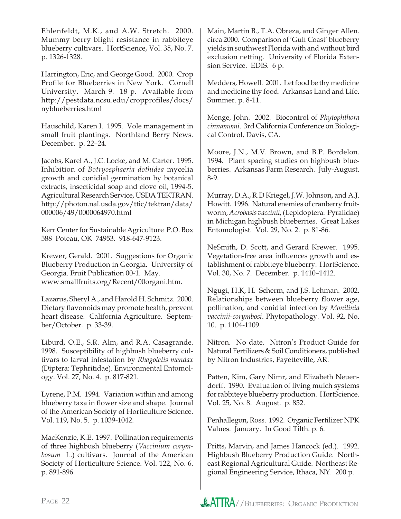Ehlenfeldt, M.K., and A.W. Stretch. 2000. Mummy berry blight resistance in rabbiteye blueberry cultivars. HortScience, Vol. 35, No. 7. p. 1326-1328.

Harrington, Eric, and George Good. 2000. Crop Profile for Blueberries in New York. Cornell University. March 9. 18 p. Available from http://pestdata.ncsu.edu/cropprofiles/docs/ nyblueberries.html

Hauschild, Karen I. 1995. Vole management in small fruit plantings. Northland Berry News. December. p. 22–24.

Jacobs, Karel A., J.C. Locke, and M. Carter. 1995. Inhibition of *Botryosphaeria dothidea* mycelia growth and conidial germination by botanical extracts, insecticidal soap and clove oil, 1994-5. Agricultural Research Service, USDA TEKTRAN. http://photon.nal.usda.gov/ttic/tektran/data/ 000006/49/0000064970.html

Kerr Center for Sustainable Agriculture P.O. Box 588 Poteau, OK 74953. 918-647-9123.

Krewer, Gerald. 2001. Suggestions for Organic Blueberry Production in Georgia. University of Georgia. Fruit Publication 00-1. May. www.smallfruits.org/Recent/00organi.htm.

Lazarus, Sheryl A., and Harold H. Schmitz. 2000. Dietary flavonoids may promote health, prevent heart disease. California Agriculture. September/October. p. 33-39.

Liburd, O.E., S.R. Alm, and R.A. Casagrande. 1998. Susceptibility of highbush blueberry cultivars to larval infestation by *Rhagoletis mendax* (Diptera: Tephritidae). Environmental Entomology. Vol. 27, No. 4. p. 817-821.

Lyrene, P.M. 1994. Variation within and among blueberry taxa in flower size and shape. Journal of the American Society of Horticulture Science. Vol. 119, No. 5. p. 1039-1042.

MacKenzie, K.E. 1997. Pollination requirements of three highbush blueberry (*Vaccinium corymbosum* L.) cultivars. Journal of the American Society of Horticulture Science. Vol. 122, No. 6. p. 891-896.

Main, Martin B., T.A. Obreza, and Ginger Allen. circa 2000. Comparison of 'Gulf Coast' blueberry yields in southwest Florida with and without bird exclusion netting. University of Florida Extension Service. EDIS. 6 p.

Medders, Howell. 2001. Let food be thy medicine and medicine thy food. Arkansas Land and Life. Summer. p. 8-11.

Menge, John. 2002. Biocontrol of *Phytophthora cinnamomi*. 3rd California Conference on Biological Control, Davis, CA.

Moore, J.N., M.V. Brown, and B.P. Bordelon. 1994. Plant spacing studies on highbush blueberries. Arkansas Farm Research. July-August. 8-9.

Murray, D.A., R.D Kriegel, J.W. Johnson, and A.J. Howitt. 1996. Natural enemies of cranberry fruitworm, *Acrobasis vaccinii*, (Lepidoptera: Pyralidae) in Michigan highbush blueberries. Great Lakes Entomologist. Vol. 29, No. 2. p. 81-86.

NeSmith, D. Scott, and Gerard Krewer. 1995. Vegetation-free area influences growth and establishment of rabbiteye blueberry. HortScience. Vol. 30, No. 7. December. p. 1410–1412.

Ngugi, H.K, H. Scherm, and J.S. Lehman. 2002. Relationships between blueberry flower age, pollination, and conidial infection by *Monilinia vaccinii-corymbosi*. Phytopathology. Vol. 92, No. 10. p. 1104-1109.

Nitron. No date. Nitron's Product Guide for Natural Fertilizers & Soil Conditioners, published by Nitron Industries, Fayetteville, AR.

Patten, Kim, Gary Nimr, and Elizabeth Neuendorff. 1990. Evaluation of living mulch systems for rabbiteye blueberry production. HortScience. Vol. 25, No. 8. August. p. 852.

Penhallegon, Ross. 1992. Organic Fertilizer NPK Values. January. In Good Tilth. p. 6.

Pritts, Marvin, and James Hancock (ed.). 1992. Highbush Blueberry Production Guide. Northeast Regional Agricultural Guide. Northeast Regional Engineering Service, Ithaca, NY. 200 p.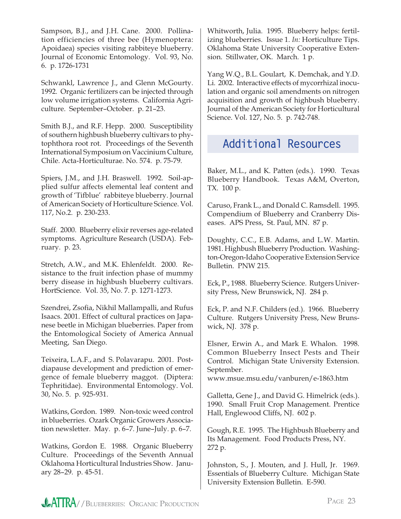Sampson, B.J., and J.H. Cane. 2000. Pollination efficiencies of three bee (Hymenoptera: Apoidaea) species visiting rabbiteye blueberry. Journal of Economic Entomology. Vol. 93, No. 6. p. 1726-1731

Schwankl, Lawrence J., and Glenn McGourty. 1992. Organic fertilizers can be injected through low volume irrigation systems. California Agriculture. September–October. p. 21–23.

Smith B.J., and R.F. Hepp. 2000. Susceptibility of southern highbush blueberry cultivars to phytophthora root rot. Proceedings of the Seventh International Symposium on Vaccinium Culture, Chile. Acta-Horticulturae. No. 574. p. 75-79.

Spiers, J.M., and J.H. Braswell. 1992. Soil-applied sulfur affects elemental leaf content and growth of 'Tifblue' rabbiteye blueberry. Journal of American Society of Horticulture Science. Vol. 117, No.2. p. 230-233.

Staff. 2000. Blueberry elixir reverses age-related symptoms. Agriculture Research (USDA). February. p. 23.

Stretch, A.W., and M.K. Ehlenfeldt. 2000. Resistance to the fruit infection phase of mummy berry disease in highbush blueberry cultivars. HortScience. Vol. 35, No. 7. p. 1271-1273.

Szendrei, Zsofia, Nikhil Mallampalli, and Rufus Isaacs. 2001. Effect of cultural practices on Japanese beetle in Michigan blueberries. Paper from the Entomological Society of America Annual Meeting, San Diego.

Teixeira, L.A.F., and S. Polavarapu. 2001. Postdiapause development and prediction of emergence of female blueberry maggot. (Diptera: Tephritidae). Environmental Entomology. Vol. 30, No. 5. p. 925-931.

Watkins, Gordon. 1989. Non-toxic weed control in blueberries. Ozark Organic Growers Association newsletter. May. p. 6–7. June–July. p. 6–7.

Watkins, Gordon E. 1988. Organic Blueberry Culture. Proceedings of the Seventh Annual Oklahoma Horticultural Industries Show. January 28–29. p. 45-51.

Whitworth, Julia. 1995. Blueberry helps: fertilizing blueberries. Issue 1. *In:* Horticulture Tips. Oklahoma State University Cooperative Extension. Stillwater, OK. March. 1 p.

Yang W.Q., B.L. Goulart, K. Demchak, and Y.D. Li. 2002. Interactive effects of mycorrhizal inoculation and organic soil amendments on nitrogen acquisition and growth of highbush blueberry. Journal of the American Society for Horticultural Science. Vol. 127, No. 5. p. 742-748.

## **Additional Resources**

Baker, M.L., and K. Patten (eds.). 1990. Texas Blueberry Handbook. Texas A&M, Overton, TX. 100 p.

Caruso, Frank L., and Donald C. Ramsdell. 1995. Compendium of Blueberry and Cranberry Diseases. APS Press, St. Paul, MN. 87 p.

Doughty, C.C., E.B. Adams, and L.W. Martin. 1981. Highbush Blueberry Production. Washington-Oregon-Idaho Cooperative Extension Service Bulletin. PNW 215.

Eck, P., 1988. Blueberry Science. Rutgers University Press, New Brunswick, NJ. 284 p.

Eck, P. and N.F. Childers (ed.). 1966. Blueberry Culture. Rutgers University Press, New Brunswick, NJ. 378 p.

Elsner, Erwin A., and Mark E. Whalon. 1998. Common Blueberry Insect Pests and Their Control. Michigan State University Extension. September.

www.msue.msu.edu/vanburen/e-1863.htm

Galletta, Gene J., and David G. Himelrick (eds.). 1990. Small Fruit Crop Management. Prentice Hall, Englewood Cliffs, NJ. 602 p.

Gough, R.E. 1995. The Highbush Blueberry and Its Management. Food Products Press, NY. 272 p.

Johnston, S., J. Mouten, and J. Hull, Jr. 1969. Essentials of Blueberry Culture. Michigan State University Extension Bulletin. E-590.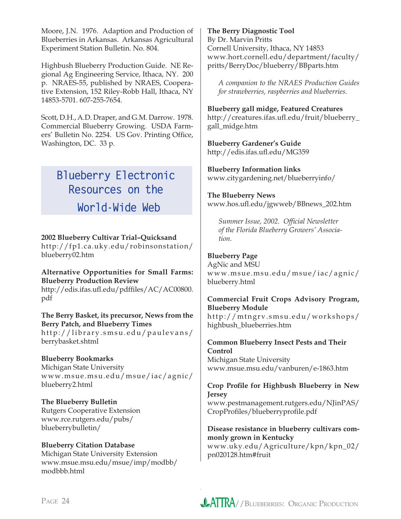Moore, J.N. 1976. Adaption and Production of Blueberries in Arkansas. Arkansas Agricultural Experiment Station Bulletin. No. 804.

Highbush Blueberry Production Guide. NE Regional Ag Engineering Service, Ithaca, NY. 200 p. NRAES-55, published by NRAES, Cooperative Extension, 152 Riley-Robb Hall, Ithaca, NY 14853-5701. 607-255-7654.

Scott, D.H., A.D. Draper, and G.M. Darrow. 1978. Commercial Blueberry Growing. USDA Farmers' Bulletin No. 2254. US Gov. Printing Office, Washington, DC. 33 p.

## **Blueberry Electronic Resources on the World-Wide Web**

### **2002 Blueberry Cultivar Trial–Quicksand**

http://fp1.ca.uky.edu/robinsonstation/ blueberry02.htm

### **Alternative Opportunities for Small Farms: Blueberry Production Review**

http://edis.ifas.ufl.edu/pdffiles/AC/AC00800. pdf

#### **The Berry Basket, its precursor, News from the Berry Patch, and Blueberry Times**

http://library.smsu.edu/paulevans/ berrybasket.shtml

### **Blueberry Bookmarks**

Michigan State University www.msue.msu.edu/msue/iac/agnic/ blueberry2.html

**The Blueberry Bulletin** Rutgers Cooperative Extension www.rce.rutgers.edu/pubs/ blueberrybulletin/

### **Blueberry Citation Database**

Michigan State University Extension www.msue.msu.edu/msue/imp/modbb/ modbbb.html

### **The Berry Diagnostic Tool**

By Dr. Marvin Pritts Cornell University, Ithaca, NY 14853 www.hort.cornell.edu/department/faculty/ pritts/BerryDoc/blueberry/BBparts.htm

*A companion to the NRAES Production Guides for strawberries, raspberries and blueberries.* 

#### **Blueberry gall midge, Featured Creatures**

http://creatures.ifas.ufl .edu/fruit/blueberry\_ gall\_midge.htm

**Blueberry Gardener's Guide** http://edis.ifas.ufl.edu/MG359

**Blueberry Information links** www.citygardening.net/blueberryinfo/

**The Blueberry News** www.hos.ufl .edu/jgwweb/BBnews\_202.htm

*Summer Issue, 2002. Official Newsletter of the Florida Blueberry Growers' Association.*

### **Blueberry Page**

AgNic and MSU www.msue.msu.edu/msue/iac/agnic/ blueberry.html

### **Commercial Fruit Crops Advisory Program, Blueberry Module**

http://mtngrv.smsu.edu/workshops/ highbush\_blueberries.htm

**Common Blueberry Insect Pests and Their Control** Michigan State University www.msue.msu.edu/vanburen/e-1863.htm

### Crop Profile for Highbush Blueberry in New **Jersey**

www.pestmanagement.rutgers.edu/NJinPAS/ CropProfiles/blueberryprofile.pdf

**Disease resistance in blueberry cultivars commonly grown in Kentucky** www.uky.edu/Agriculture/kpn/kpn\_02/ pn020128.htm#fruit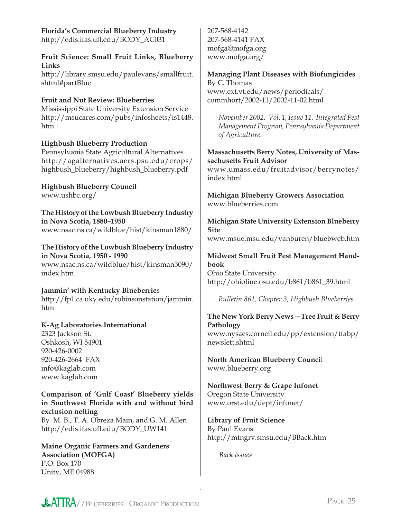## **Florida's Commercial Blueberry Industry**

http://edis.ifas.ufl .edu/BODY\_AC031

#### **Fruit Science: Small Fruit Links, Blueberry Links**

http://library.smsu.edu/paulevans/smallfruit. shtml#partBlue

## **Fruit and Nut Review: Blueberries**

Mississippi State University Extension Service http://msucares.com/pubs/infosheets/is1448. htm

### **Highbush Blueberry Production**

Pennsylvania State Agricultural Alternatives http://agalternatives.aers.psu.edu/crops/ highbush\_blueberry/highbush\_blueberry.pdf

### **Highbush Blueberry Council**

www.ushbc.org/

**The History of the Lowbush Blueberry Industry in Nova Scotia, 1880–1950** www.nsac.ns.ca/wildblue/hist/kinsman1880/

**The History of the Lowbush Blueberry Industry in Nova Scotia, 1950 - 1990** www.nsac.ns.ca/wildblue/hist/kinsman5090/ index.htm

**Jammin' with Kentucky Blueberrie**s http://fp1.ca.uky.edu/robinsonstation/jammin. htm

### **K-Ag Laboratories International**

2323 Jackson St. Oshkosh, WI 54901 920-426-0002 920-426-2664 FAX info@kaglab.com www.kaglab.com

### **Comparison of 'Gulf Coast' Blueberry yields in Southwest Florida with and without bird exclusion netting**

By M. B., T. A. Obreza Main, and G. M. Allen http://edis.ifas.ufl .edu/BODY\_UW141

**Maine Organic Farmers and Gardeners Association (MOFGA)** P.O. Box 170 Unity, ME 04988

207-568-4142 207-568-4141 FAX mofga@mofga.org www.mofga.org/

**Managing Plant Diseases with Biofungicides** By C. Thomas www.ext.vt.edu/news/periodicals/ commhort/2002-11/2002-11-02.html

*November 2002. Vol. 1, Issue 11. Integrated Pest Management Program, Pennsylvania Department of Agriculture.*

**Massachusetts Berry Notes, University of Massachusetts Fruit Advisor**  www.umass.edu/fruitadvisor/berrynotes/ index.html

**Michigan Blueberry Growers Association** www.blueberries.com

**Michigan State University Extension Blueberry Site** www.msue.msu.edu/vanburen/bluebweb.htm

#### **Midwest Small Fruit Pest Management Handbook**  Ohio State University

http://ohioline.osu.edu/b861/b861\_39.html

*Bulletin 861, Chapter 3, Highbush Blueberries.* 

#### **The New York Berry News—Tree Fruit & Berry Pathology** www.nysaes.cornell.edu/pp/extension/tfabp/ newslett.shtml

**North American Blueberry Counci**l www.blueberry.org

**Northwest Berry & Grape Infonet** Oregon State University www.orst.edu/dept/infonet/

### **Library of Fruit Science**  By Paul Evans http://mtngrv.smsu.edu/BBack.htm

*Back issues*